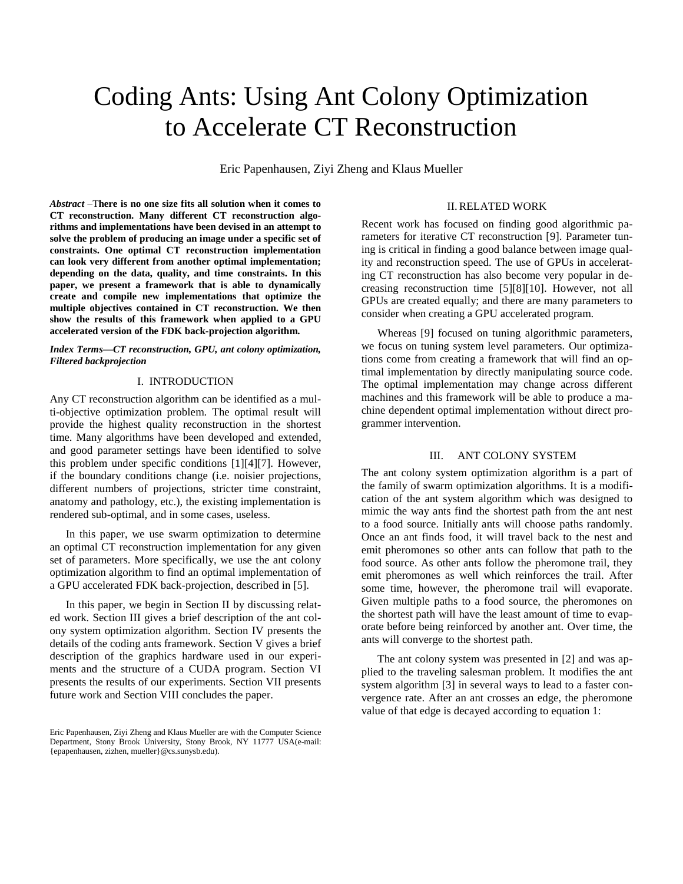# Coding Ants: Using Ant Colony Optimization to Accelerate CT Reconstruction

Eric Papenhausen, Ziyi Zheng and Klaus Mueller

*Abstract* –T**here is no one size fits all solution when it comes to CT reconstruction. Many different CT reconstruction algorithms and implementations have been devised in an attempt to solve the problem of producing an image under a specific set of constraints. One optimal CT reconstruction implementation can look very different from another optimal implementation; depending on the data, quality, and time constraints. In this paper, we present a framework that is able to dynamically create and compile new implementations that optimize the multiple objectives contained in CT reconstruction. We then show the results of this framework when applied to a GPU accelerated version of the FDK back-projection algorithm.**

*Index Terms—CT reconstruction, GPU, ant colony optimization, Filtered backprojection*

## I. INTRODUCTION

Any CT reconstruction algorithm can be identified as a multi-objective optimization problem. The optimal result will provide the highest quality reconstruction in the shortest time. Many algorithms have been developed and extended, and good parameter settings have been identified to solve this problem under specific conditions [1][4][7]. However, if the boundary conditions change (i.e. noisier projections, different numbers of projections, stricter time constraint, anatomy and pathology, etc.), the existing implementation is rendered sub-optimal, and in some cases, useless.

In this paper, we use swarm optimization to determine an optimal CT reconstruction implementation for any given set of parameters. More specifically, we use the ant colony optimization algorithm to find an optimal implementation of a GPU accelerated FDK back-projection, described in [5].

In this paper, we begin in Section II by discussing related work. Section III gives a brief description of the ant colony system optimization algorithm. Section IV presents the details of the coding ants framework. Section V gives a brief description of the graphics hardware used in our experiments and the structure of a CUDA program. Section VI presents the results of our experiments. Section VII presents future work and Section VIII concludes the paper.

### II.RELATED WORK

Recent work has focused on finding good algorithmic parameters for iterative CT reconstruction [9]. Parameter tuning is critical in finding a good balance between image quality and reconstruction speed. The use of GPUs in accelerating CT reconstruction has also become very popular in decreasing reconstruction time [5][8][10]. However, not all GPUs are created equally; and there are many parameters to consider when creating a GPU accelerated program.

Whereas [9] focused on tuning algorithmic parameters, we focus on tuning system level parameters. Our optimizations come from creating a framework that will find an optimal implementation by directly manipulating source code. The optimal implementation may change across different machines and this framework will be able to produce a machine dependent optimal implementation without direct programmer intervention.

#### III. ANT COLONY SYSTEM

The ant colony system optimization algorithm is a part of the family of swarm optimization algorithms. It is a modification of the ant system algorithm which was designed to mimic the way ants find the shortest path from the ant nest to a food source. Initially ants will choose paths randomly. Once an ant finds food, it will travel back to the nest and emit pheromones so other ants can follow that path to the food source. As other ants follow the pheromone trail, they emit pheromones as well which reinforces the trail. After some time, however, the pheromone trail will evaporate. Given multiple paths to a food source, the pheromones on the shortest path will have the least amount of time to evaporate before being reinforced by another ant. Over time, the ants will converge to the shortest path.

The ant colony system was presented in [2] and was applied to the traveling salesman problem. It modifies the ant system algorithm [3] in several ways to lead to a faster convergence rate. After an ant crosses an edge, the pheromone value of that edge is decayed according to equation 1:

Eric Papenhausen, Ziyi Zheng and Klaus Mueller are with the Computer Science Department, Stony Brook University, Stony Brook, NY 11777 USA(e-mail: {epapenhausen, zizhen, mueller}@cs.sunysb.edu).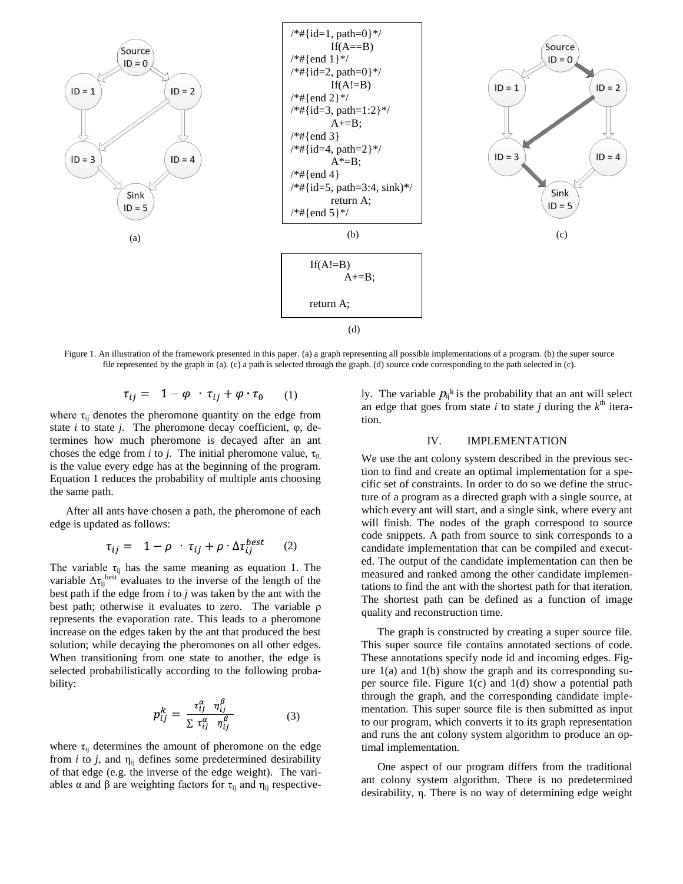

Figure 1. An illustration of the framework presented in this paper. (a) a graph representing all possible implementations of a program. (b) the super source file represented by the graph in (a). (c) a path is selected through the graph. (d) source code corresponding to the path selected in (c).

$$
\tau_{ij} = 1 - \varphi \quad \tau_{ij} + \varphi \quad \tau_0 \tag{1}
$$

where  $\tau_{ii}$  denotes the pheromone quantity on the edge from state *i* to state *j.* The pheromone decay coefficient, φ, determines how much pheromone is decayed after an ant choses the edge from *i* to *j*. The initial pheromone value,  $\tau_0$ is the value every edge has at the beginning of the program. Equation 1 reduces the probability of multiple ants choosing the same path.

After all ants have chosen a path, the pheromone of each edge is updated as follows:

$$
\tau_{ij} = 1 - \rho \cdot \tau_{ij} + \rho \cdot \Delta \tau_{ij}^{best} \qquad (2)
$$

The variable  $\tau_{ij}$  has the same meaning as equation 1. The variable  $\Delta \tau_{ij}^{\text{best}}$  evaluates to the inverse of the length of the best path if the edge from *i* to *j* was taken by the ant with the best path; otherwise it evaluates to zero. The variable ρ represents the evaporation rate. This leads to a pheromone increase on the edges taken by the ant that produced the best solution; while decaying the pheromones on all other edges. When transitioning from one state to another, the edge is selected probabilistically according to the following probability:

$$
p_{ij}^k = \frac{\tau_{ij}^\alpha - \eta_{ij}^\beta}{\sum \tau_{ij}^\alpha - \eta_{ij}^\beta}
$$
 (3)

where  $\tau_{ij}$  determines the amount of pheromone on the edge from  $i$  to  $j$ , and  $\eta_{ii}$  defines some predetermined desirability of that edge (e.g. the inverse of the edge weight). The variables  $\alpha$  and  $\beta$  are weighting factors for  $\tau_{ij}$  and  $\eta_{ij}$  respectively. The variable  $p_{ij}$ <sup>k</sup> is the probability that an ant will select an edge that goes from state *i* to state *j* during the  $k^{\text{th}}$  iteration.

### IV. IMPLEMENTATION

We use the ant colony system described in the previous section to find and create an optimal implementation for a specific set of constraints. In order to do so we define the structure of a program as a directed graph with a single source, at which every ant will start, and a single sink, where every ant will finish. The nodes of the graph correspond to source code snippets. A path from source to sink corresponds to a candidate implementation that can be compiled and executed. The output of the candidate implementation can then be measured and ranked among the other candidate implementations to find the ant with the shortest path for that iteration. The shortest path can be defined as a function of image quality and reconstruction time.

The graph is constructed by creating a super source file. This super source file contains annotated sections of code. These annotations specify node id and incoming edges. Figure  $1(a)$  and  $1(b)$  show the graph and its corresponding super source file. Figure 1(c) and 1(d) show a potential path through the graph, and the corresponding candidate implementation. This super source file is then submitted as input to our program, which converts it to its graph representation and runs the ant colony system algorithm to produce an optimal implementation.

One aspect of our program differs from the traditional ant colony system algorithm. There is no predetermined desirability, η. There is no way of determining edge weight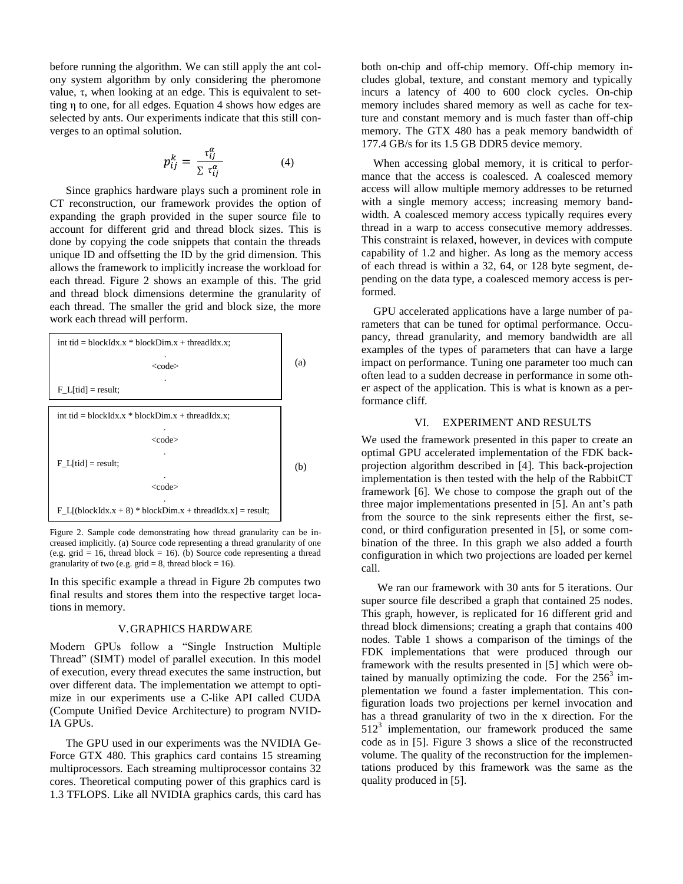before running the algorithm. We can still apply the ant colony system algorithm by only considering the pheromone value, τ, when looking at an edge. This is equivalent to setting η to one, for all edges. Equation 4 shows how edges are selected by ants. Our experiments indicate that this still converges to an optimal solution.

$$
p_{ij}^k = \frac{\tau_{ij}^\alpha}{\sum \tau_{ii}^\alpha} \tag{4}
$$

Since graphics hardware plays such a prominent role in CT reconstruction, our framework provides the option of expanding the graph provided in the super source file to account for different grid and thread block sizes. This is done by copying the code snippets that contain the threads unique ID and offsetting the ID by the grid dimension. This allows the framework to implicitly increase the workload for each thread. Figure 2 shows an example of this. The grid and thread block dimensions determine the granularity of each thread. The smaller the grid and block size, the more work each thread will perform.



Figure 2. Sample code demonstrating how thread granularity can be increased implicitly. (a) Source code representing a thread granularity of one (e.g. grid = 16, thread block = 16). (b) Source code representing a thread granularity of two (e.g.  $grid = 8$ , thread block = 16).

In this specific example a thread in Figure 2b computes two final results and stores them into the respective target locations in memory.

#### V.GRAPHICS HARDWARE

Modern GPUs follow a "Single Instruction Multiple Thread" (SIMT) model of parallel execution. In this model of execution, every thread executes the same instruction, but over different data. The implementation we attempt to optimize in our experiments use a C-like API called CUDA (Compute Unified Device Architecture) to program NVID-IA GPUs.

The GPU used in our experiments was the NVIDIA Ge-Force GTX 480. This graphics card contains 15 streaming multiprocessors. Each streaming multiprocessor contains 32 cores. Theoretical computing power of this graphics card is 1.3 TFLOPS. Like all NVIDIA graphics cards, this card has both on-chip and off-chip memory. Off-chip memory includes global, texture, and constant memory and typically incurs a latency of 400 to 600 clock cycles. On-chip memory includes shared memory as well as cache for texture and constant memory and is much faster than off-chip memory. The GTX 480 has a peak memory bandwidth of 177.4 GB/s for its 1.5 GB DDR5 device memory.

When accessing global memory, it is critical to performance that the access is coalesced. A coalesced memory access will allow multiple memory addresses to be returned with a single memory access; increasing memory bandwidth. A coalesced memory access typically requires every thread in a warp to access consecutive memory addresses. This constraint is relaxed, however, in devices with compute capability of 1.2 and higher. As long as the memory access of each thread is within a 32, 64, or 128 byte segment, depending on the data type, a coalesced memory access is performed.

GPU accelerated applications have a large number of parameters that can be tuned for optimal performance. Occupancy, thread granularity, and memory bandwidth are all examples of the types of parameters that can have a large impact on performance. Tuning one parameter too much can often lead to a sudden decrease in performance in some other aspect of the application. This is what is known as a performance cliff.

## VI. EXPERIMENT AND RESULTS

We used the framework presented in this paper to create an optimal GPU accelerated implementation of the FDK backprojection algorithm described in [4]. This back-projection implementation is then tested with the help of the RabbitCT framework [6]*.* We chose to compose the graph out of the three major implementations presented in [5]. An ant's path from the source to the sink represents either the first, second, or third configuration presented in [5], or some combination of the three. In this graph we also added a fourth configuration in which two projections are loaded per kernel call.

We ran our framework with 30 ants for 5 iterations. Our super source file described a graph that contained 25 nodes. This graph, however, is replicated for 16 different grid and thread block dimensions; creating a graph that contains 400 nodes. Table 1 shows a comparison of the timings of the FDK implementations that were produced through our framework with the results presented in [5] which were obtained by manually optimizing the code. For the  $256<sup>3</sup>$  implementation we found a faster implementation. This configuration loads two projections per kernel invocation and has a thread granularity of two in the x direction. For the  $512<sup>3</sup>$  implementation, our framework produced the same code as in [5]. Figure 3 shows a slice of the reconstructed volume. The quality of the reconstruction for the implementations produced by this framework was the same as the quality produced in [5].